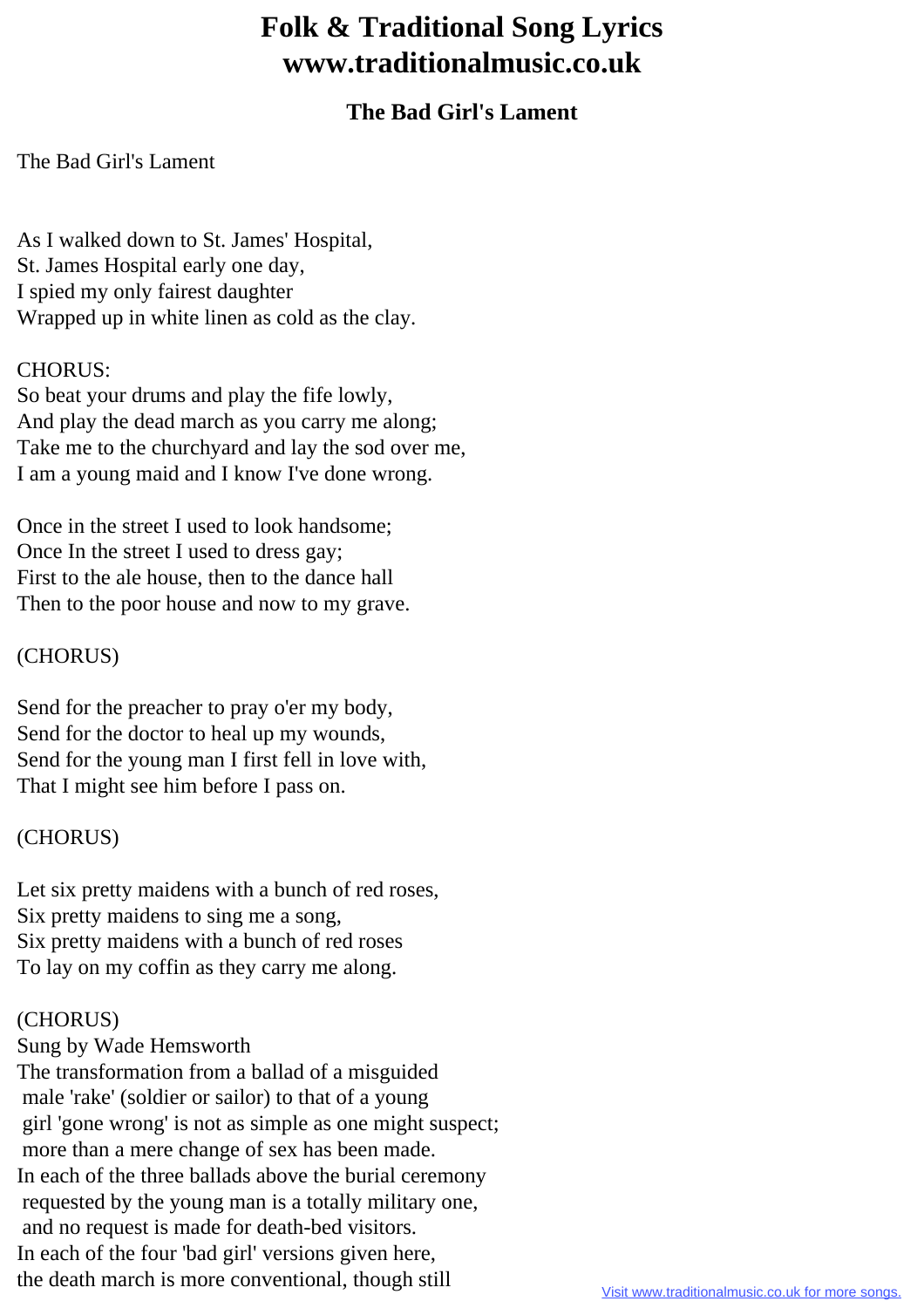# **Folk & Traditional Song Lyrics www.traditionalmusic.co.uk**

# **The Bad Girl's Lament**

The Bad Girl's Lament

As I walked down to St. James' Hospital, St. James Hospital early one day, I spied my only fairest daughter Wrapped up in white linen as cold as the clay.

### CHORUS:

So beat your drums and play the fife lowly, And play the dead march as you carry me along; Take me to the churchyard and lay the sod over me, I am a young maid and I know I've done wrong.

Once in the street I used to look handsome; Once In the street I used to dress gay; First to the ale house, then to the dance hall Then to the poor house and now to my grave.

#### (CHORUS)

Send for the preacher to pray o'er my body, Send for the doctor to heal up my wounds, Send for the young man I first fell in love with, That I might see him before I pass on.

## (CHORUS)

Let six pretty maidens with a bunch of red roses, Six pretty maidens to sing me a song, Six pretty maidens with a bunch of red roses To lay on my coffin as they carry me along.

#### (CHORUS)

Sung by Wade Hemsworth

The transformation from a ballad of a misguided male 'rake' (soldier or sailor) to that of a young girl 'gone wrong' is not as simple as one might suspect; more than a mere change of sex has been made. In each of the three ballads above the burial ceremony requested by the young man is a totally military one, and no request is made for death-bed visitors. In each of the four 'bad girl' versions given here, the death march is more conventional, though still